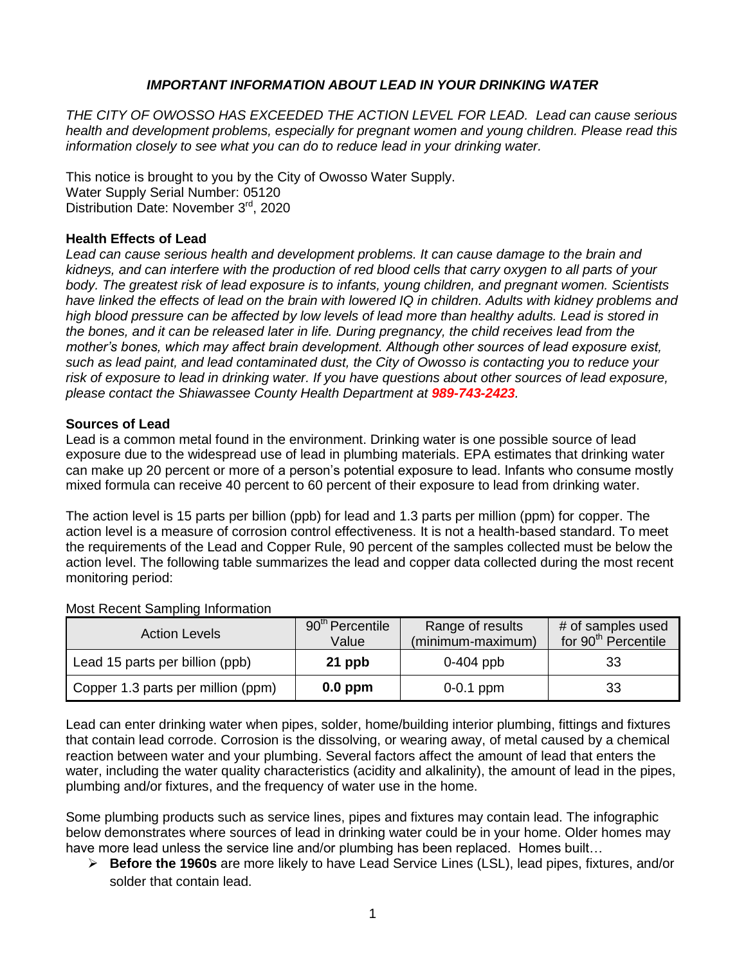### *IMPORTANT INFORMATION ABOUT LEAD IN YOUR DRINKING WATER*

*THE CITY OF OWOSSO HAS EXCEEDED THE ACTION LEVEL FOR LEAD. Lead can cause serious health and development problems, especially for pregnant women and young children. Please read this information closely to see what you can do to reduce lead in your drinking water.*

This notice is brought to you by the City of Owosso Water Supply. Water Supply Serial Number: 05120 Distribution Date: November 3<sup>rd</sup>, 2020

#### **Health Effects of Lead**

*Lead can cause serious health and development problems. It can cause damage to the brain and kidneys, and can interfere with the production of red blood cells that carry oxygen to all parts of your body. The greatest risk of lead exposure is to infants, young children, and pregnant women. Scientists have linked the effects of lead on the brain with lowered IQ in children. Adults with kidney problems and high blood pressure can be affected by low levels of lead more than healthy adults. Lead is stored in the bones, and it can be released later in life. During pregnancy, the child receives lead from the mother's bones, which may affect brain development. Although other sources of lead exposure exist, such as lead paint, and lead contaminated dust, the City of Owosso is contacting you to reduce your risk of exposure to lead in drinking water. If you have questions about other sources of lead exposure, please contact the Shiawassee County Health Department at 989-743-2423.*

#### **Sources of Lead**

Lead is a common metal found in the environment. Drinking water is one possible source of lead exposure due to the widespread use of lead in plumbing materials. EPA estimates that drinking water can make up 20 percent or more of a person's potential exposure to lead. Infants who consume mostly mixed formula can receive 40 percent to 60 percent of their exposure to lead from drinking water.

The action level is 15 parts per billion (ppb) for lead and 1.3 parts per million (ppm) for copper. The action level is a measure of corrosion control effectiveness. It is not a health-based standard. To meet the requirements of the Lead and Copper Rule, 90 percent of the samples collected must be below the action level. The following table summarizes the lead and copper data collected during the most recent monitoring period:

| <b>Action Levels</b>               | 90 <sup>th</sup> Percentile<br>Value | Range of results<br>(minimum-maximum) | # of samples used<br>for 90 <sup>th</sup> Percentile |
|------------------------------------|--------------------------------------|---------------------------------------|------------------------------------------------------|
| Lead 15 parts per billion (ppb)    | 21 ppb                               | $0-404$ ppb                           | 33                                                   |
| Copper 1.3 parts per million (ppm) | $0.0$ ppm                            | $0-0.1$ ppm                           | 33                                                   |

#### Most Recent Sampling Information

Lead can enter drinking water when pipes, solder, home/building interior plumbing, fittings and fixtures that contain lead corrode. Corrosion is the dissolving, or wearing away, of metal caused by a chemical reaction between water and your plumbing. Several factors affect the amount of lead that enters the water, including the water quality characteristics (acidity and alkalinity), the amount of lead in the pipes, plumbing and/or fixtures, and the frequency of water use in the home.

Some plumbing products such as service lines, pipes and fixtures may contain lead. The infographic below demonstrates where sources of lead in drinking water could be in your home. Older homes may have more lead unless the service line and/or plumbing has been replaced. Homes built…

 **Before the 1960s** are more likely to have Lead Service Lines (LSL), lead pipes, fixtures, and/or solder that contain lead.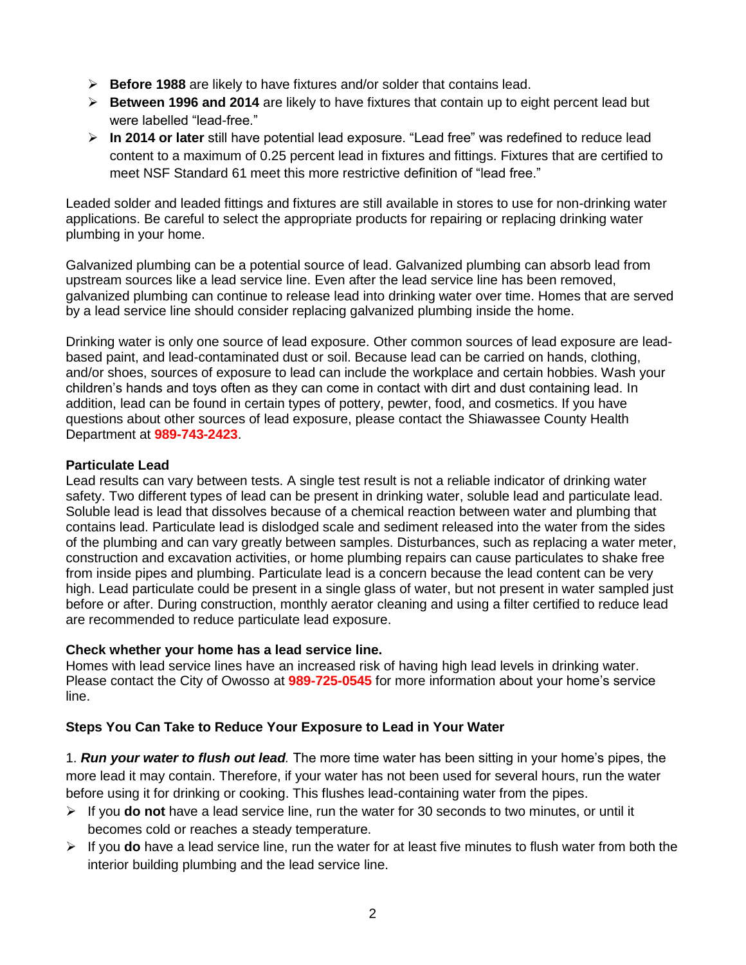- **Before 1988** are likely to have fixtures and/or solder that contains lead.
- **Between 1996 and 2014** are likely to have fixtures that contain up to eight percent lead but were labelled "lead-free."
- **In 2014 or later** still have potential lead exposure. "Lead free" was redefined to reduce lead content to a maximum of 0.25 percent lead in fixtures and fittings. Fixtures that are certified to meet NSF Standard 61 meet this more restrictive definition of "lead free."

Leaded solder and leaded fittings and fixtures are still available in stores to use for non-drinking water applications. Be careful to select the appropriate products for repairing or replacing drinking water plumbing in your home.

Galvanized plumbing can be a potential source of lead. Galvanized plumbing can absorb lead from upstream sources like a lead service line. Even after the lead service line has been removed, galvanized plumbing can continue to release lead into drinking water over time. Homes that are served by a lead service line should consider replacing galvanized plumbing inside the home.

Drinking water is only one source of lead exposure. Other common sources of lead exposure are leadbased paint, and lead-contaminated dust or soil. Because lead can be carried on hands, clothing, and/or shoes, sources of exposure to lead can include the workplace and certain hobbies. Wash your children's hands and toys often as they can come in contact with dirt and dust containing lead. In addition, lead can be found in certain types of pottery, pewter, food, and cosmetics. If you have questions about other sources of lead exposure, please contact the Shiawassee County Health Department at **989-743-2423**.

## **Particulate Lead**

Lead results can vary between tests. A single test result is not a reliable indicator of drinking water safety. Two different types of lead can be present in drinking water, soluble lead and particulate lead. Soluble lead is lead that dissolves because of a chemical reaction between water and plumbing that contains lead. Particulate lead is dislodged scale and sediment released into the water from the sides of the plumbing and can vary greatly between samples. Disturbances, such as replacing a water meter, construction and excavation activities, or home plumbing repairs can cause particulates to shake free from inside pipes and plumbing. Particulate lead is a concern because the lead content can be very high. Lead particulate could be present in a single glass of water, but not present in water sampled just before or after. During construction, monthly aerator cleaning and using a filter certified to reduce lead are recommended to reduce particulate lead exposure.

#### **Check whether your home has a lead service line.**

Homes with lead service lines have an increased risk of having high lead levels in drinking water. Please contact the City of Owosso at **989-725-0545** for more information about your home's service line.

# **Steps You Can Take to Reduce Your Exposure to Lead in Your Water**

1. *Run your water to flush out lead.* The more time water has been sitting in your home's pipes, the more lead it may contain. Therefore, if your water has not been used for several hours, run the water before using it for drinking or cooking. This flushes lead-containing water from the pipes.

- If you **do not** have a lead service line, run the water for 30 seconds to two minutes, or until it becomes cold or reaches a steady temperature.
- If you **do** have a lead service line, run the water for at least five minutes to flush water from both the interior building plumbing and the lead service line.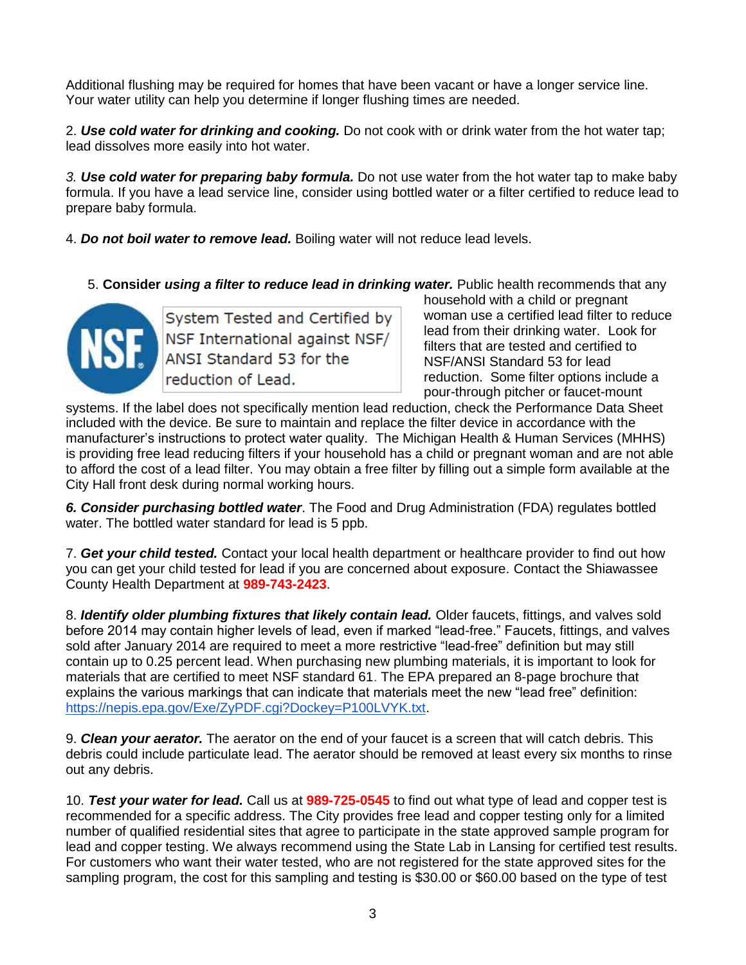Additional flushing may be required for homes that have been vacant or have a longer service line. Your water utility can help you determine if longer flushing times are needed.

2. *Use cold water for drinking and cooking.* Do not cook with or drink water from the hot water tap; lead dissolves more easily into hot water.

*3. Use cold water for preparing baby formula.* Do not use water from the hot water tap to make baby formula. If you have a lead service line, consider using bottled water or a filter certified to reduce lead to prepare baby formula.

4. *Do not boil water to remove lead.* Boiling water will not reduce lead levels.

5. **Consider** *using a filter to reduce lead in drinking water.* Public health recommends that any



System Tested and Certified by System Tested and Certified by<br>NSF International against NSF/<br>ANSI Standard 53 for the ANSI Standard 53 for the reduction of Lead.

household with a child or pregnant woman use a certified lead filter to reduce lead from their drinking water. Look for filters that are tested and certified to NSF/ANSI Standard 53 for lead reduction. Some filter options include a pour-through pitcher or faucet-mount

systems. If the label does not specifically mention lead reduction, check the Performance Data Sheet included with the device. Be sure to maintain and replace the filter device in accordance with the manufacturer's instructions to protect water quality. The Michigan Health & Human Services (MHHS) is providing free lead reducing filters if your household has a child or pregnant woman and are not able to afford the cost of a lead filter. You may obtain a free filter by filling out a simple form available at the City Hall front desk during normal working hours.

*6. Consider purchasing bottled water*. The Food and Drug Administration (FDA) regulates bottled water. The bottled water standard for lead is 5 ppb.

7. *Get your child tested.* Contact your local health department or healthcare provider to find out how you can get your child tested for lead if you are concerned about exposure. Contact the Shiawassee County Health Department at **989-743-2423**.

8. *Identify older plumbing fixtures that likely contain lead.* Older faucets, fittings, and valves sold before 2014 may contain higher levels of lead, even if marked "lead-free." Faucets, fittings, and valves sold after January 2014 are required to meet a more restrictive "lead-free" definition but may still contain up to 0.25 percent lead. When purchasing new plumbing materials, it is important to look for materials that are certified to meet NSF standard 61. The EPA prepared an 8-page brochure that explains the various markings that can indicate that materials meet the new "lead free" definition: [https://nepis.epa.gov/Exe/ZyPDF.cgi?Dockey=P100LVYK.txt.](https://nepis.epa.gov/Exe/ZyPDF.cgi?Dockey=P100LVYK.txt)

9. *Clean your aerator.* The aerator on the end of your faucet is a screen that will catch debris. This debris could include particulate lead. The aerator should be removed at least every six months to rinse out any debris.

10. *Test your water for lead.* Call us at **989-725-0545** to find out what type of lead and copper test is recommended for a specific address. The City provides free lead and copper testing only for a limited number of qualified residential sites that agree to participate in the state approved sample program for lead and copper testing. We always recommend using the State Lab in Lansing for certified test results. For customers who want their water tested, who are not registered for the state approved sites for the sampling program, the cost for this sampling and testing is \$30.00 or \$60.00 based on the type of test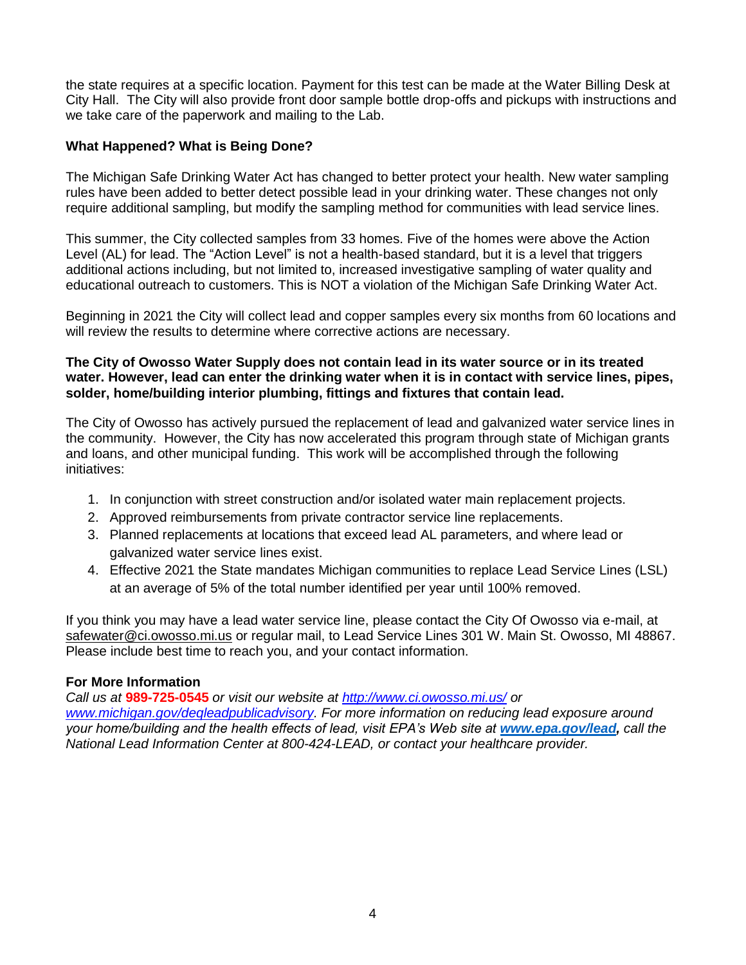the state requires at a specific location. Payment for this test can be made at the Water Billing Desk at City Hall. The City will also provide front door sample bottle drop-offs and pickups with instructions and we take care of the paperwork and mailing to the Lab.

#### **What Happened? What is Being Done?**

The Michigan Safe Drinking Water Act has changed to better protect your health. New water sampling rules have been added to better detect possible lead in your drinking water. These changes not only require additional sampling, but modify the sampling method for communities with lead service lines.

This summer, the City collected samples from 33 homes. Five of the homes were above the Action Level (AL) for lead. The "Action Level" is not a health-based standard, but it is a level that triggers additional actions including, but not limited to, increased investigative sampling of water quality and educational outreach to customers. This is NOT a violation of the Michigan Safe Drinking Water Act.

Beginning in 2021 the City will collect lead and copper samples every six months from 60 locations and will review the results to determine where corrective actions are necessary.

#### **The City of Owosso Water Supply does not contain lead in its water source or in its treated water. However, lead can enter the drinking water when it is in contact with service lines, pipes, solder, home/building interior plumbing, fittings and fixtures that contain lead.**

The City of Owosso has actively pursued the replacement of lead and galvanized water service lines in the community. However, the City has now accelerated this program through state of Michigan grants and loans, and other municipal funding. This work will be accomplished through the following initiatives:

- 1. In conjunction with street construction and/or isolated water main replacement projects.
- 2. Approved reimbursements from private contractor service line replacements.
- 3. Planned replacements at locations that exceed lead AL parameters, and where lead or galvanized water service lines exist.
- 4. Effective 2021 the State mandates Michigan communities to replace Lead Service Lines (LSL) at an average of 5% of the total number identified per year until 100% removed.

If you think you may have a lead water service line, please contact the City Of Owosso via e-mail, at [safewater@ci.owosso.mi.us](mailto:wyman.brown@ci.owosso.mi.us) or regular mail, to Lead Service Lines 301 W. Main St. Owosso, MI 48867. Please include best time to reach you, and your contact information.

#### **For More Information**

*Call us at* **989-725-0545** *or visit our website at<http://www.ci.owosso.mi.us/> or [www.michigan.gov/deqleadpublicadvisory.](http://www.michigan.gov/deqleadpublicadvisory) For more information on reducing lead exposure around your home/building and the health effects of lead, visit EPA's Web site at [www.epa.gov/lead,](http://www.epa.gov/lead) call the National Lead Information Center at 800-424-LEAD, or contact your healthcare provider.*